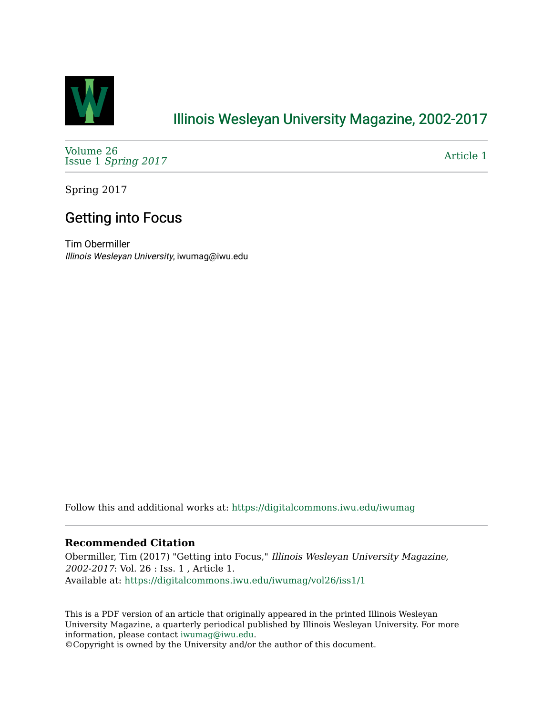

## [Illinois Wesleyan University Magazine, 2002-2017](https://digitalcommons.iwu.edu/iwumag)

[Volume 26](https://digitalcommons.iwu.edu/iwumag/vol26)  Issue 1 [Spring 2017](https://digitalcommons.iwu.edu/iwumag/vol26/iss1)

[Article 1](https://digitalcommons.iwu.edu/iwumag/vol26/iss1/1) 

Spring 2017

## Getting into Focus

Tim Obermiller Illinois Wesleyan University, iwumag@iwu.edu

Follow this and additional works at: [https://digitalcommons.iwu.edu/iwumag](https://digitalcommons.iwu.edu/iwumag?utm_source=digitalcommons.iwu.edu%2Fiwumag%2Fvol26%2Fiss1%2F1&utm_medium=PDF&utm_campaign=PDFCoverPages) 

## **Recommended Citation**

Obermiller, Tim (2017) "Getting into Focus," Illinois Wesleyan University Magazine, 2002-2017: Vol. 26 : Iss. 1 , Article 1. Available at: [https://digitalcommons.iwu.edu/iwumag/vol26/iss1/1](https://digitalcommons.iwu.edu/iwumag/vol26/iss1/1?utm_source=digitalcommons.iwu.edu%2Fiwumag%2Fvol26%2Fiss1%2F1&utm_medium=PDF&utm_campaign=PDFCoverPages)

This is a PDF version of an article that originally appeared in the printed Illinois Wesleyan University Magazine, a quarterly periodical published by Illinois Wesleyan University. For more information, please contact [iwumag@iwu.edu](mailto:iwumag@iwu.edu).

©Copyright is owned by the University and/or the author of this document.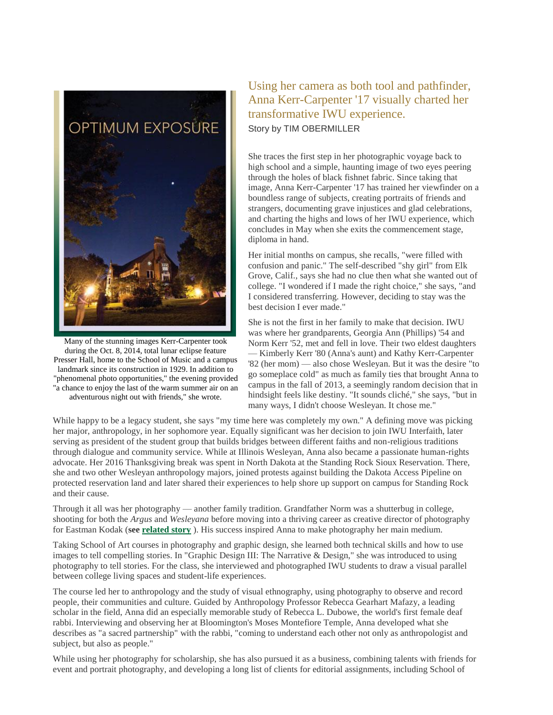

Many of the stunning images Kerr-Carpenter took during the Oct. 8, 2014, total lunar eclipse feature Presser Hall, home to the School of Music and a campus landmark since its construction in 1929. In addition to "phenomenal photo opportunities," the evening provided "a chance to enjoy the last of the warm summer air on an adventurous night out with friends," she wrote.

## Using her camera as both tool and pathfinder, Anna Kerr-Carpenter '17 visually charted her transformative IWU experience. Story by TIM OBERMILLER

She traces the first step in her photographic voyage back to high school and a simple, haunting image of two eyes peering through the holes of black fishnet fabric. Since taking that image, Anna Kerr-Carpenter '17 has trained her viewfinder on a boundless range of subjects, creating portraits of friends and strangers, documenting grave injustices and glad celebrations, and charting the highs and lows of her IWU experience, which concludes in May when she exits the commencement stage, diploma in hand.

Her initial months on campus, she recalls, "were filled with confusion and panic." The self-described "shy girl" from Elk Grove, Calif., says she had no clue then what she wanted out of college. "I wondered if I made the right choice," she says, "and I considered transferring. However, deciding to stay was the best decision I ever made."

She is not the first in her family to make that decision. IWU was where her grandparents, Georgia Ann (Phillips) '54 and Norm Kerr '52, met and fell in love. Their two eldest daughters — Kimberly Kerr '80 (Anna's aunt) and Kathy Kerr-Carpenter '82 (her mom) — also chose Wesleyan. But it was the desire "to go someplace cold" as much as family ties that brought Anna to campus in the fall of 2013, a seemingly random decision that in hindsight feels like destiny. "It sounds cliché," she says, "but in many ways, I didn't choose Wesleyan. It chose me."

While happy to be a legacy student, she says "my time here was completely my own." A defining move was picking her major, anthropology, in her sophomore year. Equally significant was her decision to join IWU Interfaith, later serving as president of the student group that builds bridges between different faiths and non-religious traditions through dialogue and community service. While at Illinois Wesleyan, Anna also became a passionate human-rights advocate. Her 2016 Thanksgiving break was spent in North Dakota at the Standing Rock Sioux Reservation. There, she and two other Wesleyan anthropology majors, joined protests against building the Dakota Access Pipeline on protected reservation land and later shared their experiences to help shore up support on campus for Standing Rock and their cause.

Through it all was her photography — another family tradition. Grandfather Norm was a shutterbug in college, shooting for both the *Argus* and *Wesleyana* before moving into a thriving career as creative director of photography for Eastman Kodak (**see [related story](https://www.iwu.edu/magazine/2017/spring/norman-kerr-sidebar.html)** ). His success inspired Anna to make photography her main medium.

Taking School of Art courses in photography and graphic design, she learned both technical skills and how to use images to tell compelling stories. In "Graphic Design III: The Narrative & Design," she was introduced to using photography to tell stories. For the class, she interviewed and photographed IWU students to draw a visual parallel between college living spaces and student-life experiences.

The course led her to anthropology and the study of visual ethnography, using photography to observe and record people, their communities and culture. Guided by Anthropology Professor Rebecca Gearhart Mafazy, a leading scholar in the field, Anna did an especially memorable study of Rebecca L. Dubowe, the world's first female deaf rabbi. Interviewing and observing her at Bloomington's Moses Montefiore Temple, Anna developed what she describes as "a sacred partnership" with the rabbi, "coming to understand each other not only as anthropologist and subject, but also as people."

While using her photography for scholarship, she has also pursued it as a business, combining talents with friends for event and portrait photography, and developing a long list of clients for editorial assignments, including School of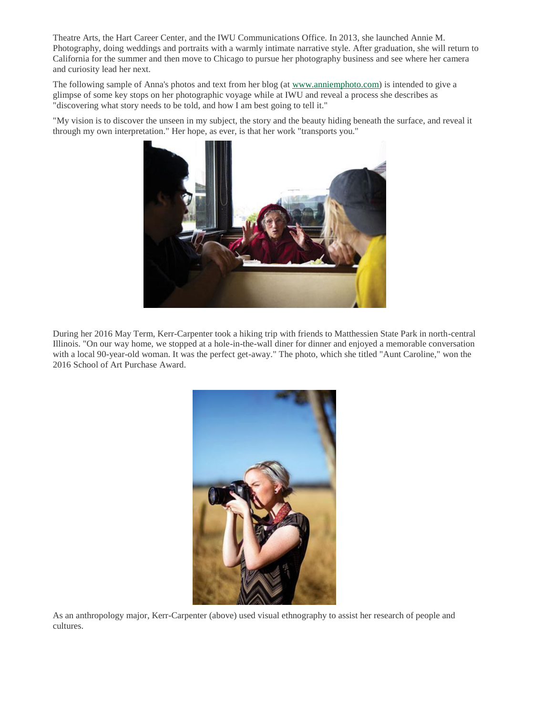Theatre Arts, the Hart Career Center, and the IWU Communications Office. In 2013, she launched Annie M. Photography, doing weddings and portraits with a warmly intimate narrative style. After graduation, she will return to California for the summer and then move to Chicago to pursue her photography business and see where her camera and curiosity lead her next.

The following sample of Anna's photos and text from her blog (at [www.anniemphoto.com\)](http://www.anniemphoto.com/) is intended to give a glimpse of some key stops on her photographic voyage while at IWU and reveal a process she describes as "discovering what story needs to be told, and how I am best going to tell it."

"My vision is to discover the unseen in my subject, the story and the beauty hiding beneath the surface, and reveal it through my own interpretation." Her hope, as ever, is that her work "transports you."



During her 2016 May Term, Kerr-Carpenter took a hiking trip with friends to Matthessien State Park in north-central Illinois. "On our way home, we stopped at a hole-in-the-wall diner for dinner and enjoyed a memorable conversation with a local 90-year-old woman. It was the perfect get-away." The photo, which she titled "Aunt Caroline," won the 2016 School of Art Purchase Award.



As an anthropology major, Kerr-Carpenter (above) used visual ethnography to assist her research of people and cultures.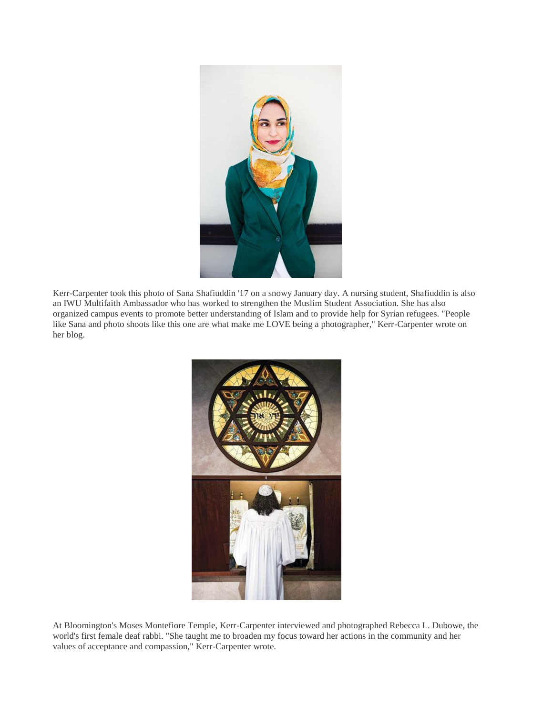

Kerr-Carpenter took this photo of Sana Shafiuddin '17 on a snowy January day. A nursing student, Shafiuddin is also an IWU Multifaith Ambassador who has worked to strengthen the Muslim Student Association. She has also organized campus events to promote better understanding of Islam and to provide help for Syrian refugees. "People like Sana and photo shoots like this one are what make me LOVE being a photographer," Kerr-Carpenter wrote on her blog.



At Bloomington's Moses Montefiore Temple, Kerr-Carpenter interviewed and photographed Rebecca L. Dubowe, the world's first female deaf rabbi. "She taught me to broaden my focus toward her actions in the community and her values of acceptance and compassion," Kerr-Carpenter wrote.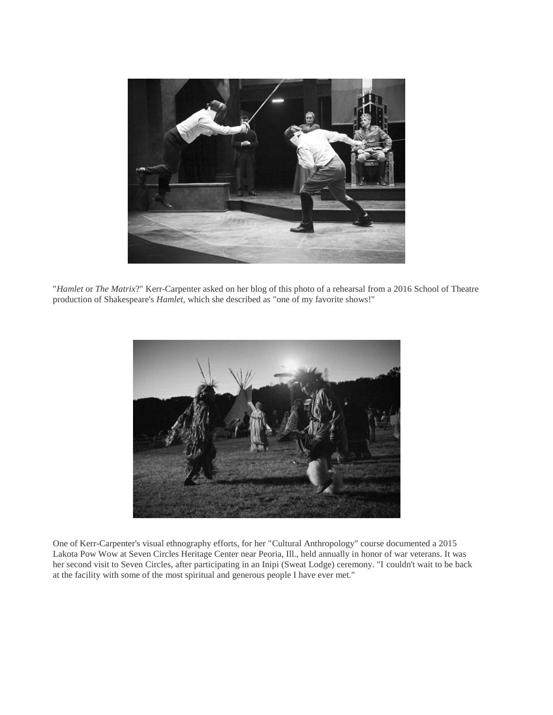

"*Hamlet* or *The Matrix*?" Kerr-Carpenter asked on her blog of this photo of a rehearsal from a 2016 School of Theatre production of Shakespeare's *Hamlet*, which she described as "one of my favorite shows!"



One of Kerr-Carpenter's visual ethnography efforts, for her "Cultural Anthropology" course documented a 2015 Lakota Pow Wow at Seven Circles Heritage Center near Peoria, Ill., held annually in honor of war veterans. It was her second visit to Seven Circles, after participating in an Inipi (Sweat Lodge) ceremony. "I couldn't wait to be back at the facility with some of the most spiritual and generous people I have ever met."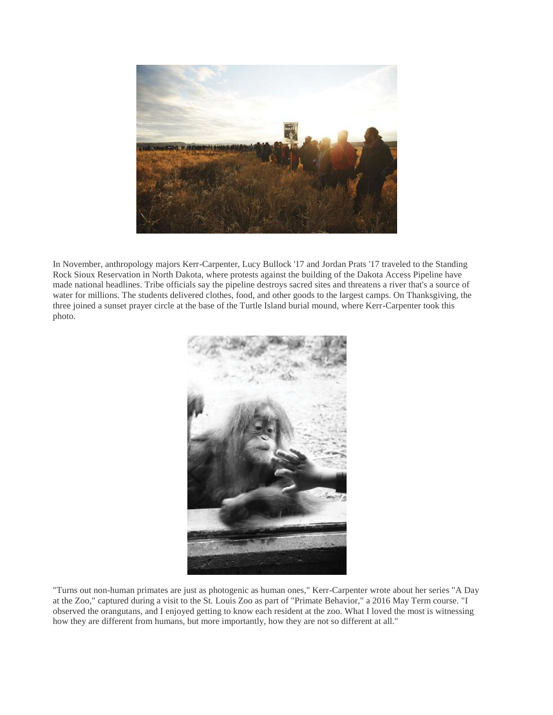

In November, anthropology majors Kerr-Carpenter, Lucy Bullock '17 and Jordan Prats '17 traveled to the Standing Rock Sioux Reservation in North Dakota, where protests against the building of the Dakota Access Pipeline have made national headlines. Tribe officials say the pipeline destroys sacred sites and threatens a river that's a source of water for millions. The students delivered clothes, food, and other goods to the largest camps. On Thanksgiving, the three joined a sunset prayer circle at the base of the Turtle Island burial mound, where Kerr-Carpenter took this photo.



"Turns out non-human primates are just as photogenic as human ones," Kerr-Carpenter wrote about her series "A Day at the Zoo," captured during a visit to the St. Louis Zoo as part of "Primate Behavior," a 2016 May Term course. "I observed the orangutans, and I enjoyed getting to know each resident at the zoo. What I loved the most is witnessing how they are different from humans, but more importantly, how they are not so different at all."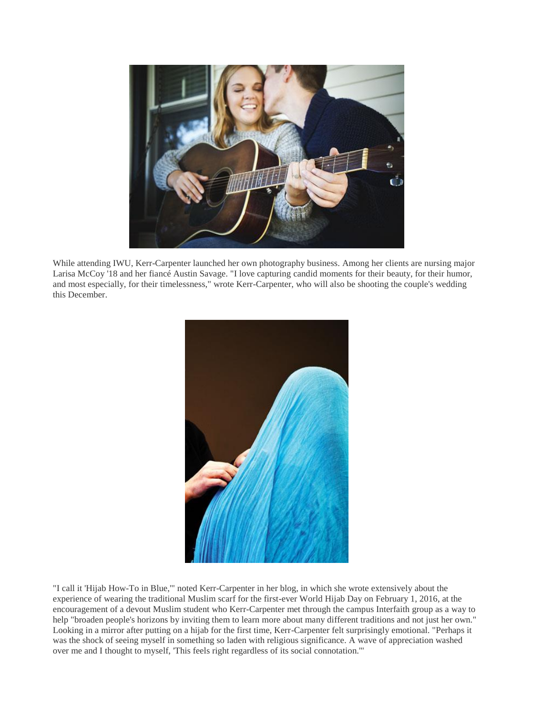

While attending IWU, Kerr-Carpenter launched her own photography business. Among her clients are nursing major Larisa McCoy '18 and her fiancé Austin Savage. "I love capturing candid moments for their beauty, for their humor, and most especially, for their timelessness," wrote Kerr-Carpenter, who will also be shooting the couple's wedding this December.



"I call it 'Hijab How-To in Blue,'" noted Kerr-Carpenter in her blog, in which she wrote extensively about the experience of wearing the traditional Muslim scarf for the first-ever World Hijab Day on February 1, 2016, at the encouragement of a devout Muslim student who Kerr-Carpenter met through the campus Interfaith group as a way to help "broaden people's horizons by inviting them to learn more about many different traditions and not just her own." Looking in a mirror after putting on a hijab for the first time, Kerr-Carpenter felt surprisingly emotional. "Perhaps it was the shock of seeing myself in something so laden with religious significance. A wave of appreciation washed over me and I thought to myself, 'This feels right regardless of its social connotation.'"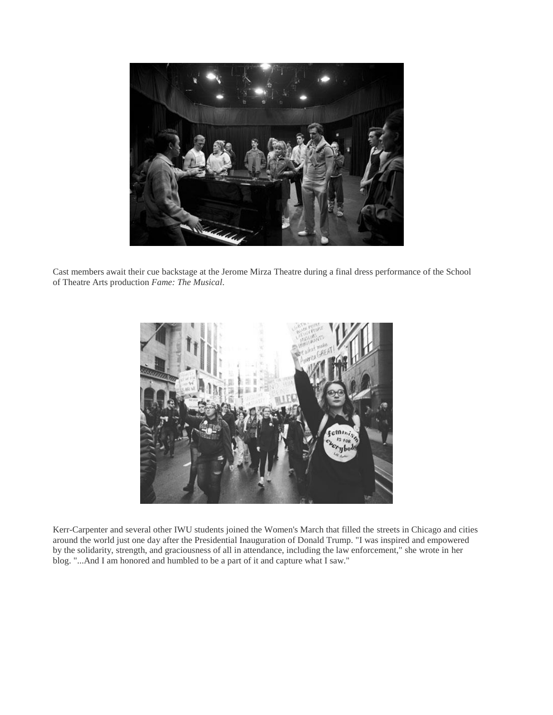

Cast members await their cue backstage at the Jerome Mirza Theatre during a final dress performance of the School of Theatre Arts production *Fame: The Musical*.



Kerr-Carpenter and several other IWU students joined the Women's March that filled the streets in Chicago and cities around the world just one day after the Presidential Inauguration of Donald Trump. "I was inspired and empowered by the solidarity, strength, and graciousness of all in attendance, including the law enforcement," she wrote in her blog. "...And I am honored and humbled to be a part of it and capture what I saw."